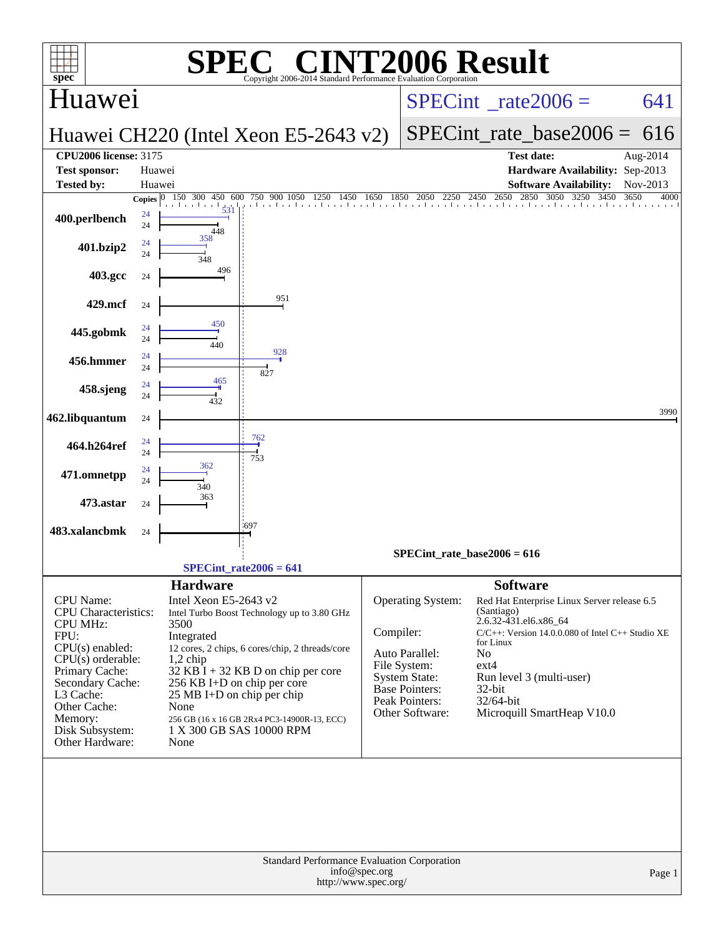| $\mathbf{P}(\mathbb{R})$<br>SPE                                                                                                                                                                                                                                                                                                                                                                                                                                                                                                             |                                                                                                    | <b>NT2006 Result</b>                                                                                                                                                                                                                                                                                            |                                                                                                      |
|---------------------------------------------------------------------------------------------------------------------------------------------------------------------------------------------------------------------------------------------------------------------------------------------------------------------------------------------------------------------------------------------------------------------------------------------------------------------------------------------------------------------------------------------|----------------------------------------------------------------------------------------------------|-----------------------------------------------------------------------------------------------------------------------------------------------------------------------------------------------------------------------------------------------------------------------------------------------------------------|------------------------------------------------------------------------------------------------------|
| $spec^*$<br>Huawei                                                                                                                                                                                                                                                                                                                                                                                                                                                                                                                          | Copyright 2006-2014 Standard Performance Evaluation Corporation<br>$SPECint^{\circ}$ rate $2006 =$ | 641                                                                                                                                                                                                                                                                                                             |                                                                                                      |
| Huawei CH220 (Intel Xeon E5-2643 v2)                                                                                                                                                                                                                                                                                                                                                                                                                                                                                                        |                                                                                                    | SPECint rate base $2006 = 616$                                                                                                                                                                                                                                                                                  |                                                                                                      |
| <b>CPU2006 license: 3175</b><br><b>Test sponsor:</b><br>Huawei<br><b>Tested by:</b><br>Huawei                                                                                                                                                                                                                                                                                                                                                                                                                                               |                                                                                                    | <b>Test date:</b>                                                                                                                                                                                                                                                                                               | Aug-2014<br>Hardware Availability: Sep-2013<br><b>Software Availability:</b><br>Nov-2013             |
| 150 300 450 600 750 900 1050 1250<br>Copies $ 0 $                                                                                                                                                                                                                                                                                                                                                                                                                                                                                           |                                                                                                    | 750 900 1050 1250 1450 1650 1850 2050 2250 2450 2650 2850 3050 3250 3450                                                                                                                                                                                                                                        | 3450<br>3650<br>4000                                                                                 |
| 531<br>24<br>400.perlbench<br>24<br>448                                                                                                                                                                                                                                                                                                                                                                                                                                                                                                     |                                                                                                    |                                                                                                                                                                                                                                                                                                                 |                                                                                                      |
| 358<br>24<br>401.bzip2<br>24<br>348                                                                                                                                                                                                                                                                                                                                                                                                                                                                                                         |                                                                                                    |                                                                                                                                                                                                                                                                                                                 |                                                                                                      |
| 496<br>403.gcc<br>24                                                                                                                                                                                                                                                                                                                                                                                                                                                                                                                        |                                                                                                    |                                                                                                                                                                                                                                                                                                                 |                                                                                                      |
| 951<br>429.mcf<br>24                                                                                                                                                                                                                                                                                                                                                                                                                                                                                                                        |                                                                                                    |                                                                                                                                                                                                                                                                                                                 |                                                                                                      |
| 450<br>24<br>445.gobmk<br>24<br>440                                                                                                                                                                                                                                                                                                                                                                                                                                                                                                         |                                                                                                    |                                                                                                                                                                                                                                                                                                                 |                                                                                                      |
| 928<br>24<br>456.hmmer<br>24<br>827                                                                                                                                                                                                                                                                                                                                                                                                                                                                                                         |                                                                                                    |                                                                                                                                                                                                                                                                                                                 |                                                                                                      |
| 465<br>24<br>458.sjeng<br>24<br>432                                                                                                                                                                                                                                                                                                                                                                                                                                                                                                         |                                                                                                    |                                                                                                                                                                                                                                                                                                                 |                                                                                                      |
| 462.libquantum<br>24                                                                                                                                                                                                                                                                                                                                                                                                                                                                                                                        |                                                                                                    |                                                                                                                                                                                                                                                                                                                 | 3990                                                                                                 |
| 762<br>24<br>464.h264ref<br>۰<br>24<br>753                                                                                                                                                                                                                                                                                                                                                                                                                                                                                                  |                                                                                                    |                                                                                                                                                                                                                                                                                                                 |                                                                                                      |
| 362<br>24<br>471.omnetpp<br>24<br>340                                                                                                                                                                                                                                                                                                                                                                                                                                                                                                       |                                                                                                    |                                                                                                                                                                                                                                                                                                                 |                                                                                                      |
| 363<br>473.astar<br>24                                                                                                                                                                                                                                                                                                                                                                                                                                                                                                                      |                                                                                                    |                                                                                                                                                                                                                                                                                                                 |                                                                                                      |
| $-697$<br>483.xalancbmk<br>24                                                                                                                                                                                                                                                                                                                                                                                                                                                                                                               |                                                                                                    | SPECint rate base2006 = $616$                                                                                                                                                                                                                                                                                   |                                                                                                      |
| $SPECint_rate2006 = 641$                                                                                                                                                                                                                                                                                                                                                                                                                                                                                                                    |                                                                                                    |                                                                                                                                                                                                                                                                                                                 |                                                                                                      |
| <b>Hardware</b><br>Intel Xeon E5-2643 v2<br><b>CPU</b> Name:<br>CPU Characteristics:<br>Intel Turbo Boost Technology up to 3.80 GHz<br><b>CPU MHz:</b><br>3500<br>FPU:<br>Integrated<br>$CPU(s)$ enabled:<br>12 cores, 2 chips, 6 cores/chip, 2 threads/core<br>$CPU(s)$ orderable:<br>$1,2$ chip<br>Primary Cache:<br>$32$ KB I + 32 KB D on chip per core<br>Secondary Cache:<br>256 KB I+D on chip per core<br>L3 Cache:<br>25 MB I+D on chip per chip<br>Other Cache:<br>None<br>Memory:<br>256 GB (16 x 16 GB 2Rx4 PC3-14900R-13, ECC) | Compiler:                                                                                          | <b>Software</b><br>Operating System:<br>(Santiago)<br>2.6.32-431.el6.x86_64<br>for Linux<br>Auto Parallel:<br>No<br>File System:<br>ext4<br><b>System State:</b><br>Run level 3 (multi-user)<br><b>Base Pointers:</b><br>32-bit<br>Peak Pointers:<br>32/64-bit<br>Other Software:<br>Microquill SmartHeap V10.0 | Red Hat Enterprise Linux Server release 6.5<br>$C/C++$ : Version 14.0.0.080 of Intel $C++$ Studio XE |
| Disk Subsystem:<br>1 X 300 GB SAS 10000 RPM<br>Other Hardware:<br>None                                                                                                                                                                                                                                                                                                                                                                                                                                                                      | Standard Performance Evaluation Corporation<br>info@spec.org<br>http://www.spec.org/               |                                                                                                                                                                                                                                                                                                                 | Page 1                                                                                               |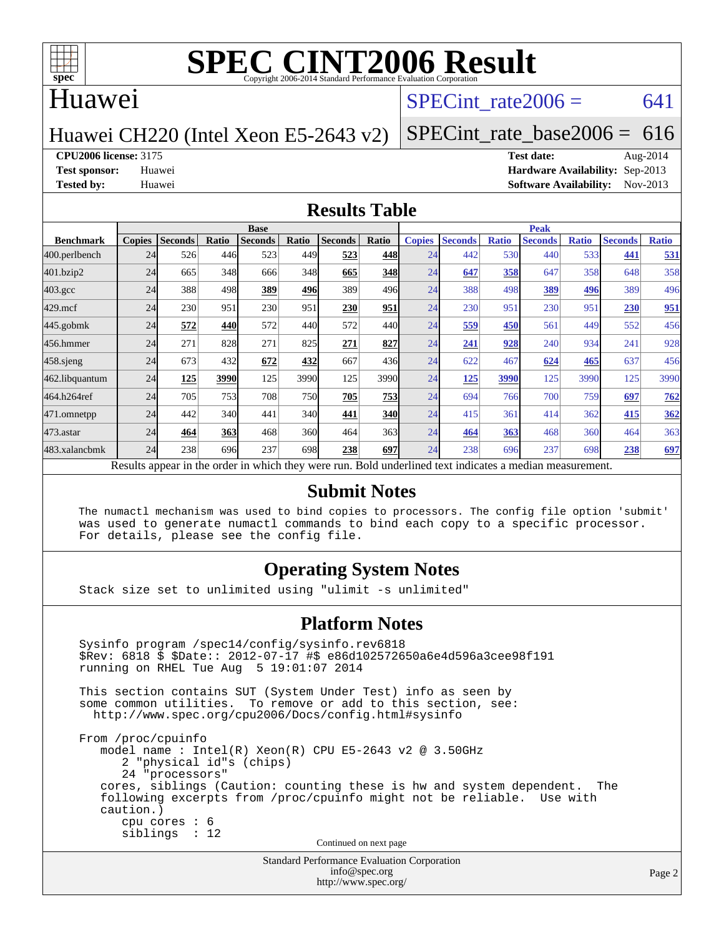

### Huawei

### SPECint rate $2006 = 641$

### Huawei CH220 (Intel Xeon E5-2643 v2)

[SPECint\\_rate\\_base2006 =](http://www.spec.org/auto/cpu2006/Docs/result-fields.html#SPECintratebase2006) 616

**[CPU2006 license:](http://www.spec.org/auto/cpu2006/Docs/result-fields.html#CPU2006license)** 3175 **[Test date:](http://www.spec.org/auto/cpu2006/Docs/result-fields.html#Testdate)** Aug-2014

**[Test sponsor:](http://www.spec.org/auto/cpu2006/Docs/result-fields.html#Testsponsor)** Huawei **[Hardware Availability:](http://www.spec.org/auto/cpu2006/Docs/result-fields.html#HardwareAvailability)** Sep-2013 **[Tested by:](http://www.spec.org/auto/cpu2006/Docs/result-fields.html#Testedby)** Huawei **[Software Availability:](http://www.spec.org/auto/cpu2006/Docs/result-fields.html#SoftwareAvailability)** Nov-2013

### **[Results Table](http://www.spec.org/auto/cpu2006/Docs/result-fields.html#ResultsTable)**

|                                                                                                          | <b>Base</b>   |                |       |                |       |                | <b>Peak</b> |               |                |              |                |              |                |              |
|----------------------------------------------------------------------------------------------------------|---------------|----------------|-------|----------------|-------|----------------|-------------|---------------|----------------|--------------|----------------|--------------|----------------|--------------|
| <b>Benchmark</b>                                                                                         | <b>Copies</b> | <b>Seconds</b> | Ratio | <b>Seconds</b> | Ratio | <b>Seconds</b> | Ratio       | <b>Copies</b> | <b>Seconds</b> | <b>Ratio</b> | <b>Seconds</b> | <b>Ratio</b> | <b>Seconds</b> | <b>Ratio</b> |
| 400.perlbench                                                                                            | 24            | 526            | 446   | 523            | 449   | 523            | 448         | 24            | 442            | 530          | 440            | 533          | 441            | 531          |
| 401.bzip2                                                                                                | 24            | 665            | 348   | 666            | 348   | 665            | 348         | 24            | 647            | 358          | 647            | 358          | 648            | 358          |
| $403.\mathrm{gcc}$                                                                                       | 24            | 388            | 498   | 389            | 496   | 389            | 496         | 24            | 388            | 498          | 389            | 496          | 389            | 496          |
| $429$ .mcf                                                                                               | 24            | 230            | 951   | 230            | 951   | 230            | 951         | 24            | 230            | 951          | 230            | 951          | 230            | <u>951</u>   |
| $445$ .gobmk                                                                                             | 24            | 572            | 440   | 572            | 440   | 572            | 440I        | 24            | 559            | 450          | 561            | 449          | 552            | 456          |
| 456.hmmer                                                                                                | 24            | 271            | 828   | 271            | 825   | 271            | 827         | 24            | 241            | 928          | 240            | 934          | 241            | 928          |
| $458$ .sjeng                                                                                             | 24            | 673            | 432   | 672            | 432   | 667            | 436         | 24            | 622            | 467          | 624            | 465          | 637            | 456          |
| 462.libquantum                                                                                           | 24            | 125            | 3990  | 125            | 3990  | 125            | 3990        | 24            | <u>125</u>     | 3990         | 125            | 3990         | 125            | 3990         |
| 464.h264ref                                                                                              | 24            | 705            | 753   | 708            | 750   | 705            | 753         | 24            | 694            | 766          | 700            | 759          | 697            | 762          |
| 471.omnetpp                                                                                              | 24            | 442            | 340   | 441            | 340   | 441            | <b>340</b>  | 24            | 415            | 361          | 414            | 362          | 415            | 362          |
| $473$ . astar                                                                                            | 24            | 464            | 363   | 468            | 360   | 464            | 363         | 24            | 464            | 363          | 468            | 360          | 464            | 363          |
| 483.xalancbmk                                                                                            | 24            | 238            | 696   | 237            | 698   | 238            | 697         | 24            | 238            | 696          | 237            | 698          | 238            | 697          |
| Results appear in the order in which they were run. Bold underlined text indicates a median measurement. |               |                |       |                |       |                |             |               |                |              |                |              |                |              |

### **[Submit Notes](http://www.spec.org/auto/cpu2006/Docs/result-fields.html#SubmitNotes)**

 The numactl mechanism was used to bind copies to processors. The config file option 'submit' was used to generate numactl commands to bind each copy to a specific processor. For details, please see the config file.

### **[Operating System Notes](http://www.spec.org/auto/cpu2006/Docs/result-fields.html#OperatingSystemNotes)**

Stack size set to unlimited using "ulimit -s unlimited"

### **[Platform Notes](http://www.spec.org/auto/cpu2006/Docs/result-fields.html#PlatformNotes)**

Standard Performance Evaluation Corporation Sysinfo program /spec14/config/sysinfo.rev6818 \$Rev: 6818 \$ \$Date:: 2012-07-17 #\$ e86d102572650a6e4d596a3cee98f191 running on RHEL Tue Aug 5 19:01:07 2014 This section contains SUT (System Under Test) info as seen by some common utilities. To remove or add to this section, see: <http://www.spec.org/cpu2006/Docs/config.html#sysinfo> From /proc/cpuinfo model name : Intel(R) Xeon(R) CPU E5-2643 v2 @ 3.50GHz 2 "physical id"s (chips) 24 "processors" cores, siblings (Caution: counting these is hw and system dependent. The following excerpts from /proc/cpuinfo might not be reliable. Use with caution.) cpu cores : 6 siblings : 12 Continued on next page

[info@spec.org](mailto:info@spec.org) <http://www.spec.org/>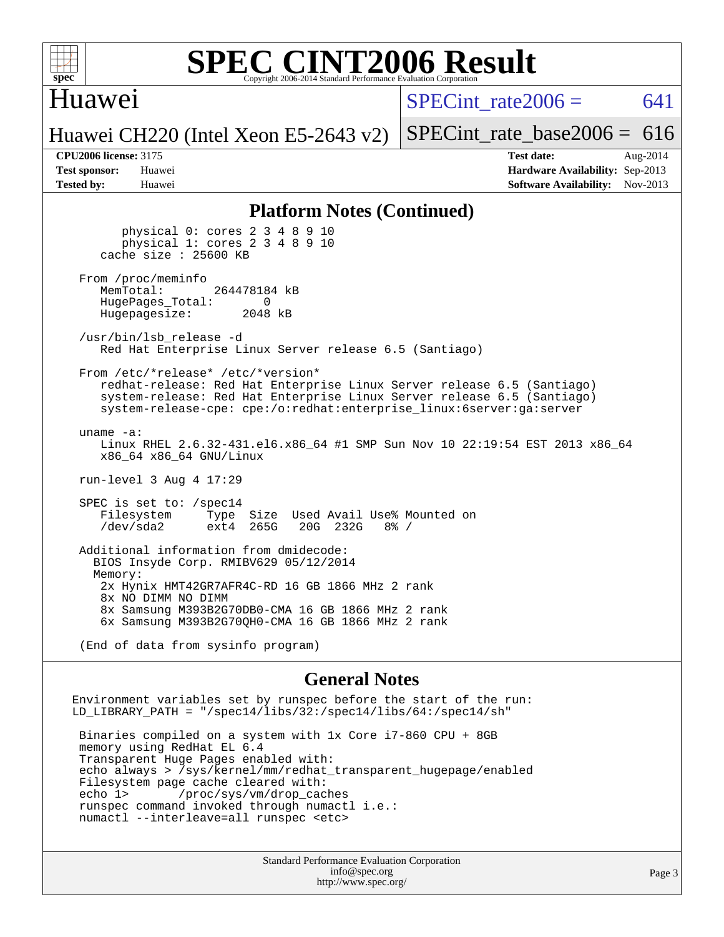

## Huawei

SPECint rate $2006 = 641$ 

Huawei CH220 (Intel Xeon E5-2643 v2)

[SPECint\\_rate\\_base2006 =](http://www.spec.org/auto/cpu2006/Docs/result-fields.html#SPECintratebase2006)  $616$ 

**[CPU2006 license:](http://www.spec.org/auto/cpu2006/Docs/result-fields.html#CPU2006license)** 3175 **[Test date:](http://www.spec.org/auto/cpu2006/Docs/result-fields.html#Testdate)** Aug-2014 **[Test sponsor:](http://www.spec.org/auto/cpu2006/Docs/result-fields.html#Testsponsor)** Huawei **[Hardware Availability:](http://www.spec.org/auto/cpu2006/Docs/result-fields.html#HardwareAvailability)** Sep-2013 **[Tested by:](http://www.spec.org/auto/cpu2006/Docs/result-fields.html#Testedby)** Huawei **[Software Availability:](http://www.spec.org/auto/cpu2006/Docs/result-fields.html#SoftwareAvailability)** Nov-2013

### **[Platform Notes \(Continued\)](http://www.spec.org/auto/cpu2006/Docs/result-fields.html#PlatformNotes)**

 physical 0: cores 2 3 4 8 9 10 physical 1: cores 2 3 4 8 9 10 cache size : 25600 KB From /proc/meminfo<br>MemTotal: 264478184 kB HugePages\_Total: 0<br>Hugepagesize: 2048 kB Hugepagesize: /usr/bin/lsb\_release -d Red Hat Enterprise Linux Server release 6.5 (Santiago) From /etc/\*release\* /etc/\*version\* redhat-release: Red Hat Enterprise Linux Server release 6.5 (Santiago) system-release: Red Hat Enterprise Linux Server release 6.5 (Santiago) system-release-cpe: cpe:/o:redhat:enterprise\_linux:6server:ga:server uname -a: Linux RHEL 2.6.32-431.el6.x86\_64 #1 SMP Sun Nov 10 22:19:54 EST 2013 x86\_64 x86\_64 x86\_64 GNU/Linux run-level 3 Aug 4 17:29 SPEC is set to: /spec14 Filesystem Type Size Used Avail Use% Mounted on<br>
/dev/sda2 ext4 265G 20G 232G 8% / /dev/sda2 ext4 265G 20G 232G 8% / Additional information from dmidecode: BIOS Insyde Corp. RMIBV629 05/12/2014 Memory: 2x Hynix HMT42GR7AFR4C-RD 16 GB 1866 MHz 2 rank 8x NO DIMM NO DIMM 8x Samsung M393B2G70DB0-CMA 16 GB 1866 MHz 2 rank 6x Samsung M393B2G70QH0-CMA 16 GB 1866 MHz 2 rank

(End of data from sysinfo program)

### **[General Notes](http://www.spec.org/auto/cpu2006/Docs/result-fields.html#GeneralNotes)**

Environment variables set by runspec before the start of the run: LD LIBRARY PATH = "/spec14/libs/32:/spec14/libs/64:/spec14/sh" Binaries compiled on a system with 1x Core i7-860 CPU + 8GB memory using RedHat EL 6.4 Transparent Huge Pages enabled with: echo always > /sys/kernel/mm/redhat\_transparent\_hugepage/enabled Filesystem page cache cleared with: echo 1> /proc/sys/vm/drop\_caches runspec command invoked through numactl i.e.: numactl --interleave=all runspec <etc>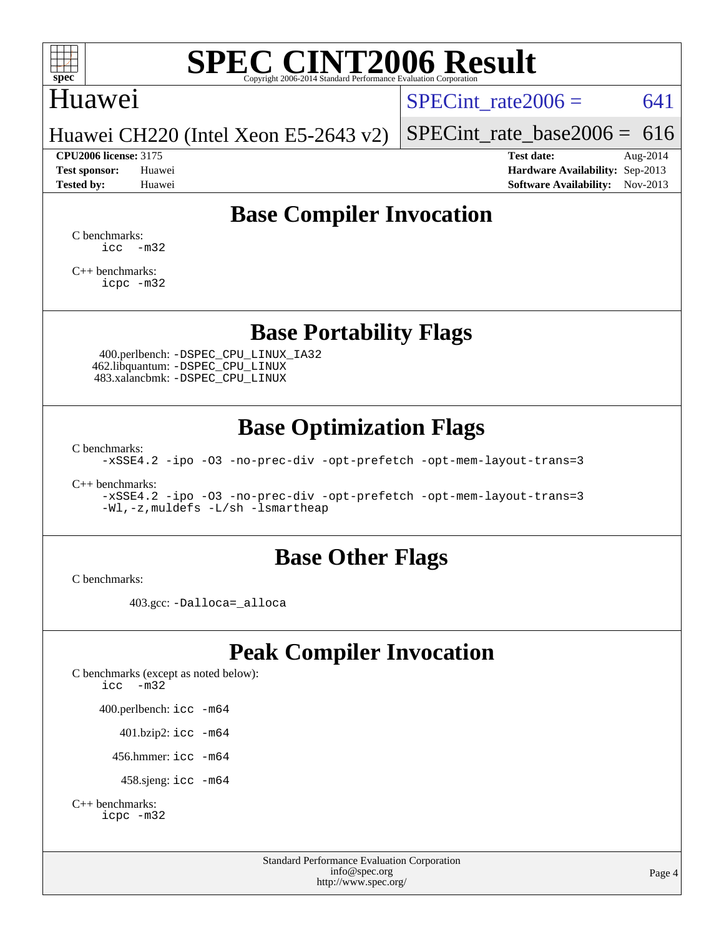

### Huawei

SPECint rate $2006 = 641$ 

Huawei CH220 (Intel Xeon E5-2643 v2)

[SPECint\\_rate\\_base2006 =](http://www.spec.org/auto/cpu2006/Docs/result-fields.html#SPECintratebase2006) 616 **[CPU2006 license:](http://www.spec.org/auto/cpu2006/Docs/result-fields.html#CPU2006license)** 3175 **[Test date:](http://www.spec.org/auto/cpu2006/Docs/result-fields.html#Testdate)** Aug-2014

**[Test sponsor:](http://www.spec.org/auto/cpu2006/Docs/result-fields.html#Testsponsor)** Huawei **[Hardware Availability:](http://www.spec.org/auto/cpu2006/Docs/result-fields.html#HardwareAvailability)** Sep-2013 **[Tested by:](http://www.spec.org/auto/cpu2006/Docs/result-fields.html#Testedby)** Huawei **[Software Availability:](http://www.spec.org/auto/cpu2006/Docs/result-fields.html#SoftwareAvailability)** Nov-2013

## **[Base Compiler Invocation](http://www.spec.org/auto/cpu2006/Docs/result-fields.html#BaseCompilerInvocation)**

[C benchmarks](http://www.spec.org/auto/cpu2006/Docs/result-fields.html#Cbenchmarks):  $\text{icc}$   $-\text{m32}$ 

[C++ benchmarks:](http://www.spec.org/auto/cpu2006/Docs/result-fields.html#CXXbenchmarks) [icpc -m32](http://www.spec.org/cpu2006/results/res2014q3/cpu2006-20140820-30964.flags.html#user_CXXbase_intel_icpc_4e5a5ef1a53fd332b3c49e69c3330699)

### **[Base Portability Flags](http://www.spec.org/auto/cpu2006/Docs/result-fields.html#BasePortabilityFlags)**

 400.perlbench: [-DSPEC\\_CPU\\_LINUX\\_IA32](http://www.spec.org/cpu2006/results/res2014q3/cpu2006-20140820-30964.flags.html#b400.perlbench_baseCPORTABILITY_DSPEC_CPU_LINUX_IA32) 462.libquantum: [-DSPEC\\_CPU\\_LINUX](http://www.spec.org/cpu2006/results/res2014q3/cpu2006-20140820-30964.flags.html#b462.libquantum_baseCPORTABILITY_DSPEC_CPU_LINUX) 483.xalancbmk: [-DSPEC\\_CPU\\_LINUX](http://www.spec.org/cpu2006/results/res2014q3/cpu2006-20140820-30964.flags.html#b483.xalancbmk_baseCXXPORTABILITY_DSPEC_CPU_LINUX)

## **[Base Optimization Flags](http://www.spec.org/auto/cpu2006/Docs/result-fields.html#BaseOptimizationFlags)**

[C benchmarks](http://www.spec.org/auto/cpu2006/Docs/result-fields.html#Cbenchmarks):

[-xSSE4.2](http://www.spec.org/cpu2006/results/res2014q3/cpu2006-20140820-30964.flags.html#user_CCbase_f-xSSE42_f91528193cf0b216347adb8b939d4107) [-ipo](http://www.spec.org/cpu2006/results/res2014q3/cpu2006-20140820-30964.flags.html#user_CCbase_f-ipo) [-O3](http://www.spec.org/cpu2006/results/res2014q3/cpu2006-20140820-30964.flags.html#user_CCbase_f-O3) [-no-prec-div](http://www.spec.org/cpu2006/results/res2014q3/cpu2006-20140820-30964.flags.html#user_CCbase_f-no-prec-div) [-opt-prefetch](http://www.spec.org/cpu2006/results/res2014q3/cpu2006-20140820-30964.flags.html#user_CCbase_f-opt-prefetch) [-opt-mem-layout-trans=3](http://www.spec.org/cpu2006/results/res2014q3/cpu2006-20140820-30964.flags.html#user_CCbase_f-opt-mem-layout-trans_a7b82ad4bd7abf52556d4961a2ae94d5)

[C++ benchmarks:](http://www.spec.org/auto/cpu2006/Docs/result-fields.html#CXXbenchmarks)

[-xSSE4.2](http://www.spec.org/cpu2006/results/res2014q3/cpu2006-20140820-30964.flags.html#user_CXXbase_f-xSSE42_f91528193cf0b216347adb8b939d4107) [-ipo](http://www.spec.org/cpu2006/results/res2014q3/cpu2006-20140820-30964.flags.html#user_CXXbase_f-ipo) [-O3](http://www.spec.org/cpu2006/results/res2014q3/cpu2006-20140820-30964.flags.html#user_CXXbase_f-O3) [-no-prec-div](http://www.spec.org/cpu2006/results/res2014q3/cpu2006-20140820-30964.flags.html#user_CXXbase_f-no-prec-div) [-opt-prefetch](http://www.spec.org/cpu2006/results/res2014q3/cpu2006-20140820-30964.flags.html#user_CXXbase_f-opt-prefetch) [-opt-mem-layout-trans=3](http://www.spec.org/cpu2006/results/res2014q3/cpu2006-20140820-30964.flags.html#user_CXXbase_f-opt-mem-layout-trans_a7b82ad4bd7abf52556d4961a2ae94d5) [-Wl,-z,muldefs](http://www.spec.org/cpu2006/results/res2014q3/cpu2006-20140820-30964.flags.html#user_CXXbase_link_force_multiple1_74079c344b956b9658436fd1b6dd3a8a) [-L/sh -lsmartheap](http://www.spec.org/cpu2006/results/res2014q3/cpu2006-20140820-30964.flags.html#user_CXXbase_SmartHeap_32f6c82aa1ed9c52345d30cf6e4a0499)

### **[Base Other Flags](http://www.spec.org/auto/cpu2006/Docs/result-fields.html#BaseOtherFlags)**

[C benchmarks](http://www.spec.org/auto/cpu2006/Docs/result-fields.html#Cbenchmarks):

403.gcc: [-Dalloca=\\_alloca](http://www.spec.org/cpu2006/results/res2014q3/cpu2006-20140820-30964.flags.html#b403.gcc_baseEXTRA_CFLAGS_Dalloca_be3056838c12de2578596ca5467af7f3)

## **[Peak Compiler Invocation](http://www.spec.org/auto/cpu2006/Docs/result-fields.html#PeakCompilerInvocation)**

[C benchmarks \(except as noted below\)](http://www.spec.org/auto/cpu2006/Docs/result-fields.html#Cbenchmarksexceptasnotedbelow): [icc -m32](http://www.spec.org/cpu2006/results/res2014q3/cpu2006-20140820-30964.flags.html#user_CCpeak_intel_icc_5ff4a39e364c98233615fdd38438c6f2) 400.perlbench: [icc -m64](http://www.spec.org/cpu2006/results/res2014q3/cpu2006-20140820-30964.flags.html#user_peakCCLD400_perlbench_intel_icc_64bit_bda6cc9af1fdbb0edc3795bac97ada53) 401.bzip2: [icc -m64](http://www.spec.org/cpu2006/results/res2014q3/cpu2006-20140820-30964.flags.html#user_peakCCLD401_bzip2_intel_icc_64bit_bda6cc9af1fdbb0edc3795bac97ada53)

456.hmmer: [icc -m64](http://www.spec.org/cpu2006/results/res2014q3/cpu2006-20140820-30964.flags.html#user_peakCCLD456_hmmer_intel_icc_64bit_bda6cc9af1fdbb0edc3795bac97ada53)

458.sjeng: [icc -m64](http://www.spec.org/cpu2006/results/res2014q3/cpu2006-20140820-30964.flags.html#user_peakCCLD458_sjeng_intel_icc_64bit_bda6cc9af1fdbb0edc3795bac97ada53)

```
C++ benchmarks: 
    icpc -m32
```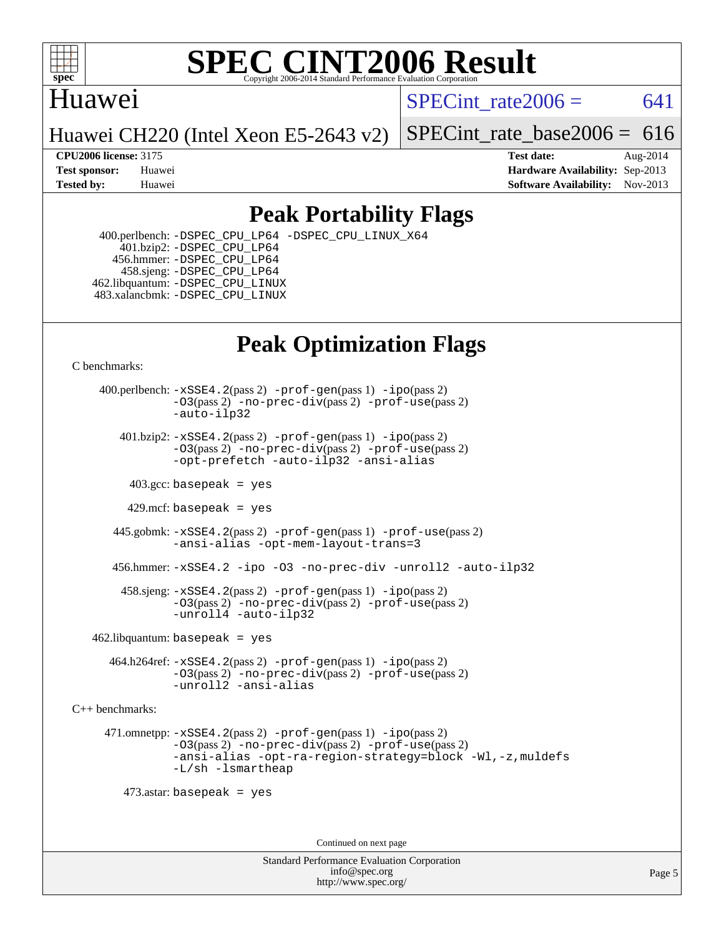

## Huawei

SPECint rate $2006 = 641$ 

Huawei CH220 (Intel Xeon E5-2643 v2)

[SPECint\\_rate\\_base2006 =](http://www.spec.org/auto/cpu2006/Docs/result-fields.html#SPECintratebase2006)  $616$ 

**[CPU2006 license:](http://www.spec.org/auto/cpu2006/Docs/result-fields.html#CPU2006license)** 3175 **[Test date:](http://www.spec.org/auto/cpu2006/Docs/result-fields.html#Testdate)** Aug-2014 **[Test sponsor:](http://www.spec.org/auto/cpu2006/Docs/result-fields.html#Testsponsor)** Huawei **[Hardware Availability:](http://www.spec.org/auto/cpu2006/Docs/result-fields.html#HardwareAvailability)** Sep-2013 **[Tested by:](http://www.spec.org/auto/cpu2006/Docs/result-fields.html#Testedby)** Huawei **[Software Availability:](http://www.spec.org/auto/cpu2006/Docs/result-fields.html#SoftwareAvailability)** Nov-2013

## **[Peak Portability Flags](http://www.spec.org/auto/cpu2006/Docs/result-fields.html#PeakPortabilityFlags)**

 400.perlbench: [-DSPEC\\_CPU\\_LP64](http://www.spec.org/cpu2006/results/res2014q3/cpu2006-20140820-30964.flags.html#b400.perlbench_peakCPORTABILITY_DSPEC_CPU_LP64) [-DSPEC\\_CPU\\_LINUX\\_X64](http://www.spec.org/cpu2006/results/res2014q3/cpu2006-20140820-30964.flags.html#b400.perlbench_peakCPORTABILITY_DSPEC_CPU_LINUX_X64) 401.bzip2: [-DSPEC\\_CPU\\_LP64](http://www.spec.org/cpu2006/results/res2014q3/cpu2006-20140820-30964.flags.html#suite_peakCPORTABILITY401_bzip2_DSPEC_CPU_LP64) 456.hmmer: [-DSPEC\\_CPU\\_LP64](http://www.spec.org/cpu2006/results/res2014q3/cpu2006-20140820-30964.flags.html#suite_peakCPORTABILITY456_hmmer_DSPEC_CPU_LP64) 458.sjeng: [-DSPEC\\_CPU\\_LP64](http://www.spec.org/cpu2006/results/res2014q3/cpu2006-20140820-30964.flags.html#suite_peakCPORTABILITY458_sjeng_DSPEC_CPU_LP64) 462.libquantum: [-DSPEC\\_CPU\\_LINUX](http://www.spec.org/cpu2006/results/res2014q3/cpu2006-20140820-30964.flags.html#b462.libquantum_peakCPORTABILITY_DSPEC_CPU_LINUX) 483.xalancbmk: [-DSPEC\\_CPU\\_LINUX](http://www.spec.org/cpu2006/results/res2014q3/cpu2006-20140820-30964.flags.html#b483.xalancbmk_peakCXXPORTABILITY_DSPEC_CPU_LINUX)

# **[Peak Optimization Flags](http://www.spec.org/auto/cpu2006/Docs/result-fields.html#PeakOptimizationFlags)**

[C benchmarks](http://www.spec.org/auto/cpu2006/Docs/result-fields.html#Cbenchmarks):

 400.perlbench: [-xSSE4.2](http://www.spec.org/cpu2006/results/res2014q3/cpu2006-20140820-30964.flags.html#user_peakPASS2_CFLAGSPASS2_LDCFLAGS400_perlbench_f-xSSE42_f91528193cf0b216347adb8b939d4107)(pass 2) [-prof-gen](http://www.spec.org/cpu2006/results/res2014q3/cpu2006-20140820-30964.flags.html#user_peakPASS1_CFLAGSPASS1_LDCFLAGS400_perlbench_prof_gen_e43856698f6ca7b7e442dfd80e94a8fc)(pass 1) [-ipo](http://www.spec.org/cpu2006/results/res2014q3/cpu2006-20140820-30964.flags.html#user_peakPASS2_CFLAGSPASS2_LDCFLAGS400_perlbench_f-ipo)(pass 2) [-O3](http://www.spec.org/cpu2006/results/res2014q3/cpu2006-20140820-30964.flags.html#user_peakPASS2_CFLAGSPASS2_LDCFLAGS400_perlbench_f-O3)(pass 2) [-no-prec-div](http://www.spec.org/cpu2006/results/res2014q3/cpu2006-20140820-30964.flags.html#user_peakPASS2_CFLAGSPASS2_LDCFLAGS400_perlbench_f-no-prec-div)(pass 2) [-prof-use](http://www.spec.org/cpu2006/results/res2014q3/cpu2006-20140820-30964.flags.html#user_peakPASS2_CFLAGSPASS2_LDCFLAGS400_perlbench_prof_use_bccf7792157ff70d64e32fe3e1250b55)(pass 2) [-auto-ilp32](http://www.spec.org/cpu2006/results/res2014q3/cpu2006-20140820-30964.flags.html#user_peakCOPTIMIZE400_perlbench_f-auto-ilp32)  $401.bzip2: -xSSE4.2(pass 2) -prof-qen(pass 1) -ipo(pass 2)$  $401.bzip2: -xSSE4.2(pass 2) -prof-qen(pass 1) -ipo(pass 2)$  $401.bzip2: -xSSE4.2(pass 2) -prof-qen(pass 1) -ipo(pass 2)$  $401.bzip2: -xSSE4.2(pass 2) -prof-qen(pass 1) -ipo(pass 2)$  $401.bzip2: -xSSE4.2(pass 2) -prof-qen(pass 1) -ipo(pass 2)$ [-O3](http://www.spec.org/cpu2006/results/res2014q3/cpu2006-20140820-30964.flags.html#user_peakPASS2_CFLAGSPASS2_LDCFLAGS401_bzip2_f-O3)(pass 2) [-no-prec-div](http://www.spec.org/cpu2006/results/res2014q3/cpu2006-20140820-30964.flags.html#user_peakPASS2_CFLAGSPASS2_LDCFLAGS401_bzip2_f-no-prec-div)(pass 2) [-prof-use](http://www.spec.org/cpu2006/results/res2014q3/cpu2006-20140820-30964.flags.html#user_peakPASS2_CFLAGSPASS2_LDCFLAGS401_bzip2_prof_use_bccf7792157ff70d64e32fe3e1250b55)(pass 2) [-opt-prefetch](http://www.spec.org/cpu2006/results/res2014q3/cpu2006-20140820-30964.flags.html#user_peakCOPTIMIZE401_bzip2_f-opt-prefetch) [-auto-ilp32](http://www.spec.org/cpu2006/results/res2014q3/cpu2006-20140820-30964.flags.html#user_peakCOPTIMIZE401_bzip2_f-auto-ilp32) [-ansi-alias](http://www.spec.org/cpu2006/results/res2014q3/cpu2006-20140820-30964.flags.html#user_peakCOPTIMIZE401_bzip2_f-ansi-alias)  $403.\text{sec: basepeak}$  = yes 429.mcf: basepeak = yes 445.gobmk: [-xSSE4.2](http://www.spec.org/cpu2006/results/res2014q3/cpu2006-20140820-30964.flags.html#user_peakPASS2_CFLAGSPASS2_LDCFLAGS445_gobmk_f-xSSE42_f91528193cf0b216347adb8b939d4107)(pass 2) [-prof-gen](http://www.spec.org/cpu2006/results/res2014q3/cpu2006-20140820-30964.flags.html#user_peakPASS1_CFLAGSPASS1_LDCFLAGS445_gobmk_prof_gen_e43856698f6ca7b7e442dfd80e94a8fc)(pass 1) [-prof-use](http://www.spec.org/cpu2006/results/res2014q3/cpu2006-20140820-30964.flags.html#user_peakPASS2_CFLAGSPASS2_LDCFLAGS445_gobmk_prof_use_bccf7792157ff70d64e32fe3e1250b55)(pass 2) [-ansi-alias](http://www.spec.org/cpu2006/results/res2014q3/cpu2006-20140820-30964.flags.html#user_peakCOPTIMIZE445_gobmk_f-ansi-alias) [-opt-mem-layout-trans=3](http://www.spec.org/cpu2006/results/res2014q3/cpu2006-20140820-30964.flags.html#user_peakCOPTIMIZE445_gobmk_f-opt-mem-layout-trans_a7b82ad4bd7abf52556d4961a2ae94d5) 456.hmmer: [-xSSE4.2](http://www.spec.org/cpu2006/results/res2014q3/cpu2006-20140820-30964.flags.html#user_peakCOPTIMIZE456_hmmer_f-xSSE42_f91528193cf0b216347adb8b939d4107) [-ipo](http://www.spec.org/cpu2006/results/res2014q3/cpu2006-20140820-30964.flags.html#user_peakCOPTIMIZE456_hmmer_f-ipo) [-O3](http://www.spec.org/cpu2006/results/res2014q3/cpu2006-20140820-30964.flags.html#user_peakCOPTIMIZE456_hmmer_f-O3) [-no-prec-div](http://www.spec.org/cpu2006/results/res2014q3/cpu2006-20140820-30964.flags.html#user_peakCOPTIMIZE456_hmmer_f-no-prec-div) [-unroll2](http://www.spec.org/cpu2006/results/res2014q3/cpu2006-20140820-30964.flags.html#user_peakCOPTIMIZE456_hmmer_f-unroll_784dae83bebfb236979b41d2422d7ec2) [-auto-ilp32](http://www.spec.org/cpu2006/results/res2014q3/cpu2006-20140820-30964.flags.html#user_peakCOPTIMIZE456_hmmer_f-auto-ilp32) 458.sjeng: [-xSSE4.2](http://www.spec.org/cpu2006/results/res2014q3/cpu2006-20140820-30964.flags.html#user_peakPASS2_CFLAGSPASS2_LDCFLAGS458_sjeng_f-xSSE42_f91528193cf0b216347adb8b939d4107)(pass 2) [-prof-gen](http://www.spec.org/cpu2006/results/res2014q3/cpu2006-20140820-30964.flags.html#user_peakPASS1_CFLAGSPASS1_LDCFLAGS458_sjeng_prof_gen_e43856698f6ca7b7e442dfd80e94a8fc)(pass 1) [-ipo](http://www.spec.org/cpu2006/results/res2014q3/cpu2006-20140820-30964.flags.html#user_peakPASS2_CFLAGSPASS2_LDCFLAGS458_sjeng_f-ipo)(pass 2) [-O3](http://www.spec.org/cpu2006/results/res2014q3/cpu2006-20140820-30964.flags.html#user_peakPASS2_CFLAGSPASS2_LDCFLAGS458_sjeng_f-O3)(pass 2) [-no-prec-div](http://www.spec.org/cpu2006/results/res2014q3/cpu2006-20140820-30964.flags.html#user_peakPASS2_CFLAGSPASS2_LDCFLAGS458_sjeng_f-no-prec-div)(pass 2) [-prof-use](http://www.spec.org/cpu2006/results/res2014q3/cpu2006-20140820-30964.flags.html#user_peakPASS2_CFLAGSPASS2_LDCFLAGS458_sjeng_prof_use_bccf7792157ff70d64e32fe3e1250b55)(pass 2) [-unroll4](http://www.spec.org/cpu2006/results/res2014q3/cpu2006-20140820-30964.flags.html#user_peakCOPTIMIZE458_sjeng_f-unroll_4e5e4ed65b7fd20bdcd365bec371b81f) [-auto-ilp32](http://www.spec.org/cpu2006/results/res2014q3/cpu2006-20140820-30964.flags.html#user_peakCOPTIMIZE458_sjeng_f-auto-ilp32)  $462$ .libquantum: basepeak = yes 464.h264ref: [-xSSE4.2](http://www.spec.org/cpu2006/results/res2014q3/cpu2006-20140820-30964.flags.html#user_peakPASS2_CFLAGSPASS2_LDCFLAGS464_h264ref_f-xSSE42_f91528193cf0b216347adb8b939d4107)(pass 2) [-prof-gen](http://www.spec.org/cpu2006/results/res2014q3/cpu2006-20140820-30964.flags.html#user_peakPASS1_CFLAGSPASS1_LDCFLAGS464_h264ref_prof_gen_e43856698f6ca7b7e442dfd80e94a8fc)(pass 1) [-ipo](http://www.spec.org/cpu2006/results/res2014q3/cpu2006-20140820-30964.flags.html#user_peakPASS2_CFLAGSPASS2_LDCFLAGS464_h264ref_f-ipo)(pass 2) [-O3](http://www.spec.org/cpu2006/results/res2014q3/cpu2006-20140820-30964.flags.html#user_peakPASS2_CFLAGSPASS2_LDCFLAGS464_h264ref_f-O3)(pass 2) [-no-prec-div](http://www.spec.org/cpu2006/results/res2014q3/cpu2006-20140820-30964.flags.html#user_peakPASS2_CFLAGSPASS2_LDCFLAGS464_h264ref_f-no-prec-div)(pass 2) [-prof-use](http://www.spec.org/cpu2006/results/res2014q3/cpu2006-20140820-30964.flags.html#user_peakPASS2_CFLAGSPASS2_LDCFLAGS464_h264ref_prof_use_bccf7792157ff70d64e32fe3e1250b55)(pass 2) [-unroll2](http://www.spec.org/cpu2006/results/res2014q3/cpu2006-20140820-30964.flags.html#user_peakCOPTIMIZE464_h264ref_f-unroll_784dae83bebfb236979b41d2422d7ec2) [-ansi-alias](http://www.spec.org/cpu2006/results/res2014q3/cpu2006-20140820-30964.flags.html#user_peakCOPTIMIZE464_h264ref_f-ansi-alias)

[C++ benchmarks:](http://www.spec.org/auto/cpu2006/Docs/result-fields.html#CXXbenchmarks)

```
 471.omnetpp: -xSSE4.2(pass 2) -prof-gen(pass 1) -ipo(pass 2)
           -O3(pass 2) -no-prec-div(pass 2) -prof-use(pass 2)
           -ansi-alias -opt-ra-region-strategy=block -Wl,-z,muldefs
           -L/sh -lsmartheap
```
473.astar: basepeak = yes

Continued on next page